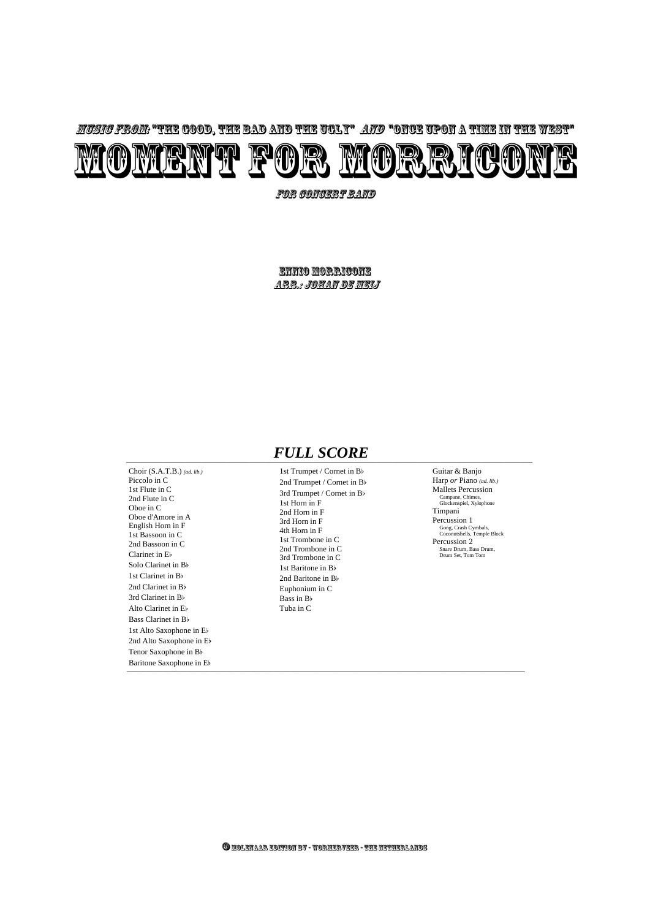1st Trumpet / Cornet in Bb 2nd Trumpet / Cornet in Bb 3rd Trumpet / Cornet in Bb 1st Horn in F 2nd Horn in F 3rd Horn in F 4th Horn in F 1st Trombone in C 2nd Trombone in C 3rd Trombone in C 1st Baritone in Bb 2nd Baritone in Bb Euphonium in C Bass in Bb Tuba in C

## \_\_\_\_\_\_\_\_\_\_\_\_\_\_\_\_\_\_\_\_\_\_\_\_\_\_\_\_\_\_\_\_\_\_\_\_\_\_\_\_\_\_\_\_\_\_\_\_\_\_\_\_\_\_\_\_\_\_\_\_\_\_\_\_\_\_\_\_\_\_\_\_\_\_\_\_\_\_\_\_\_\_\_\_\_\_\_\_\_\_\_\_\_\_\_\_\_\_\_\_\_\_ *FULL SCORE*

#### Guitar & Banjo

Harp *or* Piano *(ad. lib.)* Mallets Percussion Campane, Chimes, Glockenspiel, Xylophone Timpani Percussion 1 Gong, Crash Cymbals, Coconutshells, Temple Block Percussion 2 Snare Drum, Bass Drum, Drum Set, Tom Tom

for Concert Band

 $\Box$ Choir (S.A.T.B.) *(ad. lib.)* Piccolo in C 1st Flute in C 2nd Flute in C Oboe in C Oboe d'Amore in A English Horn in F 1st Bassoon in C 2nd Bassoon in C Clarinet in Eb Solo Clarinet in Bb 1st Clarinet in Bb 2nd Clarinet in Bb 3rd Clarinet in Bb Alto Clarinet in Eb Bass Clarinet in Bb 1st Alto Saxophone in Eb 2nd Alto Saxophone in Eb Tenor Saxophone in Bb Baritone Saxophone in Eb

Ennio Morricone Arr.: Johan de Meij

#### © Molenaar Edition BV - Wormerveer - the Netherlands

Music from: "The Good, the Bad and the Ugly" and "Once Upon a Time in the West"

# MOMENT FOR MORRICONE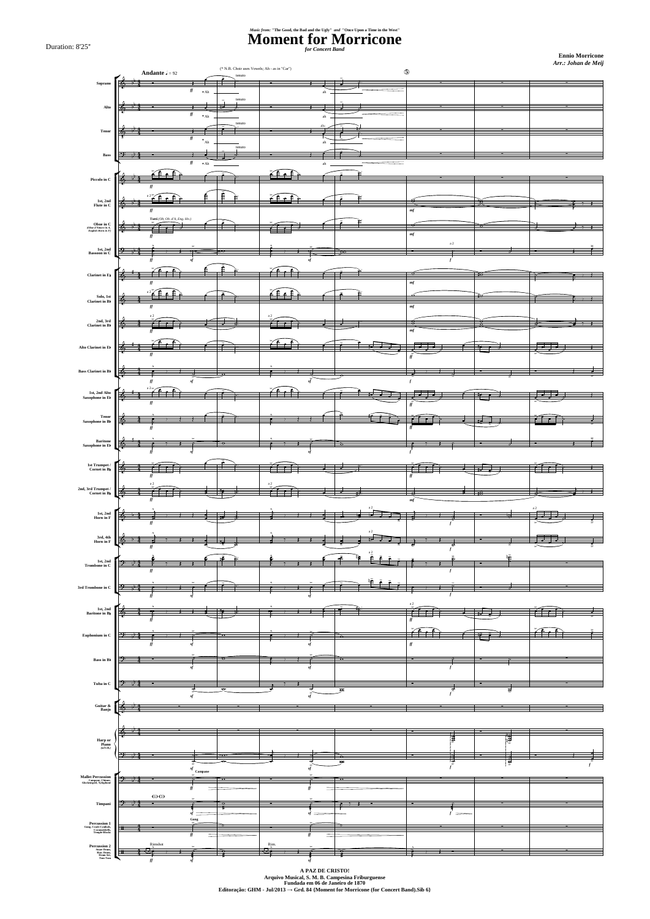**Ennio Morricone**  *Arr.: Johan de Meij*

### **Moment for Morricone** *for Concert Band Music from:* **"The Good, the Bad and the Ugly"** *and* **"Once Upon a Time in the West"**

Duration: 8'25''



**Arquivo Musical, S. M. B. Campesina Friburguense Fundada em 06 de Janeiro de 1870 Editoração: GHM - Jul/2013 → Grd. 84 {Moment for Morricone (for Concert Band).Sib 6}**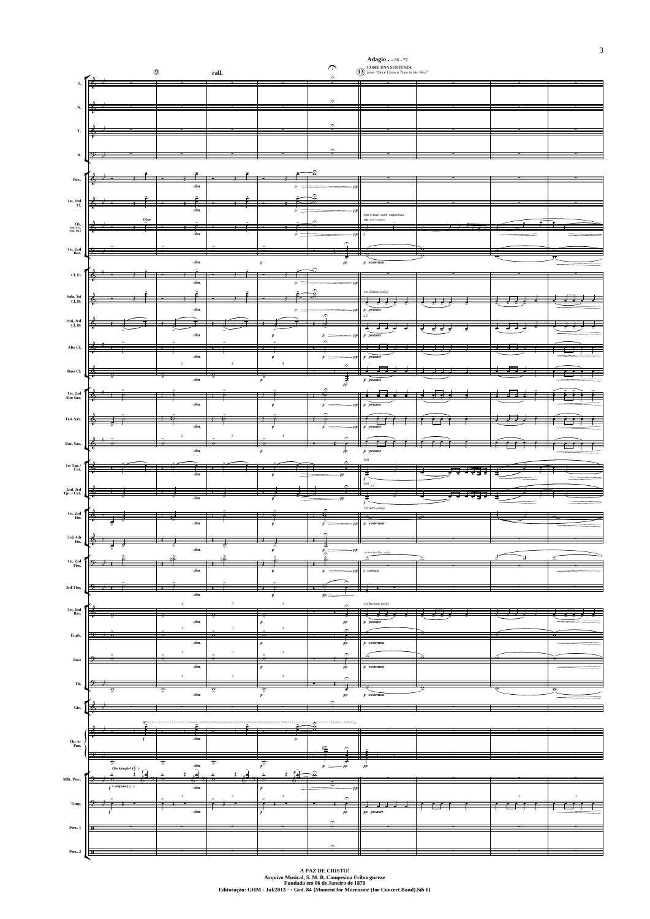

**A PAZ DE CRISTO! Arquivo Musical, S. M. B. Campesina Friburguense Fundada em 06 de Janeiro de 1870 Editoração: GHM - Jul/2013 → Grd. 84 {Moment for Morricone (for Concert Band).Sib 6}**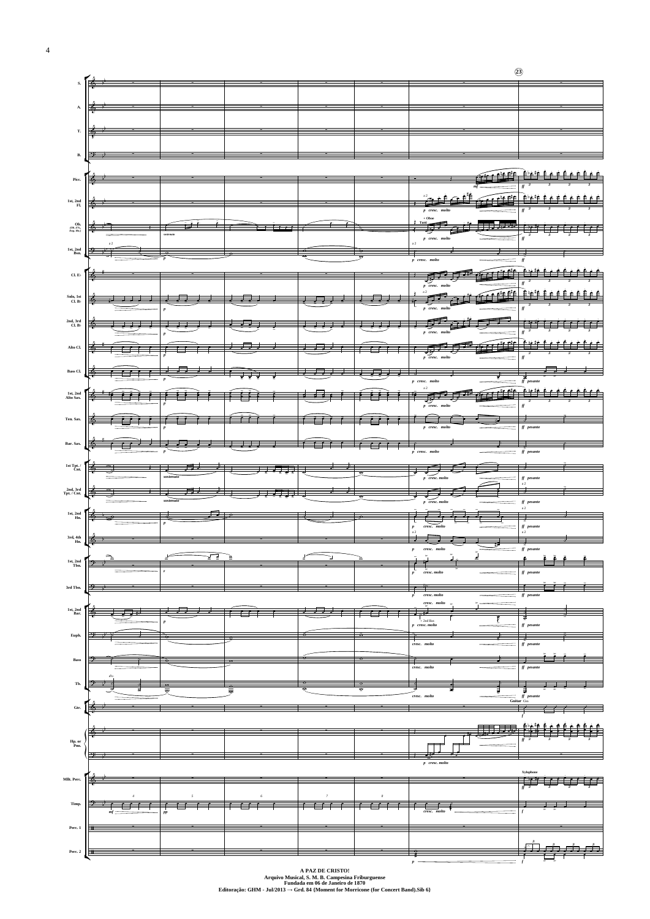

**Arquivo Musical, S. M. B. Campesina Friburguense Fundada em 06 de Janeiro de 1870 Editoração: GHM - Jul/2013 → Grd. 84 {Moment for Morricone (for Concert Band).Sib 6}**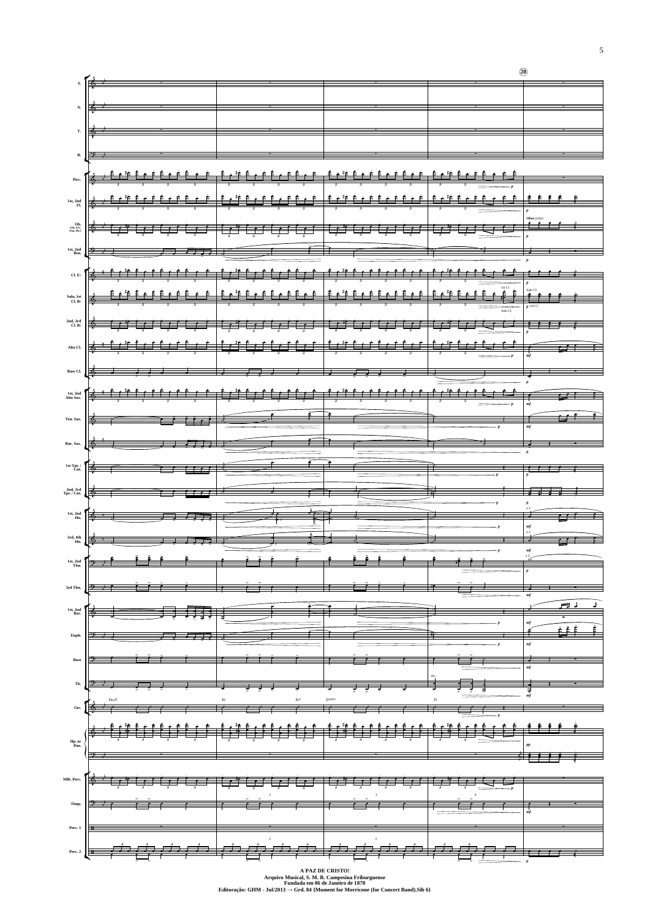|                                     | $s.$ $\sqrt{\frac{1}{2}}$                                                                                                                                                                                                                                                                                                                                                                                                                                                                                            |  |  |              |
|-------------------------------------|----------------------------------------------------------------------------------------------------------------------------------------------------------------------------------------------------------------------------------------------------------------------------------------------------------------------------------------------------------------------------------------------------------------------------------------------------------------------------------------------------------------------|--|--|--------------|
|                                     | $\mathbf{A}$ $\phi$                                                                                                                                                                                                                                                                                                                                                                                                                                                                                                  |  |  |              |
|                                     | $\frac{1}{2}$ $\frac{1}{2}$                                                                                                                                                                                                                                                                                                                                                                                                                                                                                          |  |  |              |
|                                     |                                                                                                                                                                                                                                                                                                                                                                                                                                                                                                                      |  |  |              |
|                                     |                                                                                                                                                                                                                                                                                                                                                                                                                                                                                                                      |  |  |              |
|                                     |                                                                                                                                                                                                                                                                                                                                                                                                                                                                                                                      |  |  |              |
|                                     |                                                                                                                                                                                                                                                                                                                                                                                                                                                                                                                      |  |  |              |
|                                     | ميشين   ﴿ * تَـهِـَّا تَـهِـَّا تَـهِـدًا فَـهِـدًا تَـهِـدًا تَـهِـدًا تَـهِـدًا تَـهِـدًا تَـهِدًا تَبَيْتُ ت                                                                                                                                                                                                                                                                                                                                                                                                      |  |  |              |
|                                     | $1\text{st, 2nd}$ $\overrightarrow{P}$ $\overrightarrow{P}$ $\overrightarrow{P}$ $\overrightarrow{P}$ $\overrightarrow{P}$ $\overrightarrow{P}$ $\overrightarrow{P}$ $\overrightarrow{P}$ $\overrightarrow{P}$ $\overrightarrow{P}$ $\overrightarrow{P}$ $\overrightarrow{P}$ $\overrightarrow{P}$ $\overrightarrow{P}$ $\overrightarrow{P}$ $\overrightarrow{P}$ $\overrightarrow{P}$ $\overrightarrow{P}$ $\overrightarrow{P}$ $\overrightarrow{P}$ $\overrightarrow{P}$ $\overrightarrow{P}$ $\overrightarrow{P}$ |  |  |              |
|                                     | <sub>Œ</sub> » <mark>∫<del>§ * Ê≠Ë* Ê≠Ë Ê≠Ë Ê≠Ë Ê≠Ë* Ê≠Ë Ê≠Ë Êç±</del> Ê≠Ë <del>Ê≠Ë Një Êçë Êçë Êçë Êçë  </del> Ê<del>rë ê çë E</del></mark>                                                                                                                                                                                                                                                                                                                                                                         |  |  |              |
|                                     |                                                                                                                                                                                                                                                                                                                                                                                                                                                                                                                      |  |  |              |
|                                     | and and life that the first terms of the state of the state of the state of the state of the state of the stat<br>And an interference of the state of the state of the state of the state of the state of the state of the stat                                                                                                                                                                                                                                                                                      |  |  |              |
|                                     |                                                                                                                                                                                                                                                                                                                                                                                                                                                                                                                      |  |  |              |
|                                     |                                                                                                                                                                                                                                                                                                                                                                                                                                                                                                                      |  |  |              |
|                                     | Bas CL $\begin{pmatrix} 0 & 0 & 0 & 0 \\ 0 & 0 & 0 & 0 \\ 0 & 0 & 0 & 0 \\ 0 & 0 & 0 & 0 \\ 0 & 0 & 0 & 0 \\ 0 & 0 & 0 & 0 \\ 0 & 0 & 0 & 0 \\ 0 & 0 & 0 & 0 \\ 0 & 0 & 0 & 0 \\ 0 & 0 & 0 & 0 \\ 0 & 0 & 0 & 0 \\ 0 & 0 & 0 & 0 \\ 0 & 0 & 0 & 0 & 0 \\ 0 & 0 & 0 & 0 & 0 \\ 0 & 0 & 0 & 0 & 0 \\ 0 & 0 & 0 & 0 & 0 \\ 0 &$                                                                                                                                                                                         |  |  |              |
|                                     |                                                                                                                                                                                                                                                                                                                                                                                                                                                                                                                      |  |  |              |
| Ten. Sax.                           |                                                                                                                                                                                                                                                                                                                                                                                                                                                                                                                      |  |  |              |
| Bar. Sax.                           |                                                                                                                                                                                                                                                                                                                                                                                                                                                                                                                      |  |  |              |
| 1st Tpt. $\ell$ Cnt.                |                                                                                                                                                                                                                                                                                                                                                                                                                                                                                                                      |  |  |              |
| $2nd, 3rd$<br>Tpt. / Cnt.           |                                                                                                                                                                                                                                                                                                                                                                                                                                                                                                                      |  |  |              |
| ${\bf 1st}, {\bf 2nd} \\ {\bf Hn}.$ |                                                                                                                                                                                                                                                                                                                                                                                                                                                                                                                      |  |  |              |
| $3rd, 4th$ Hn.                      |                                                                                                                                                                                                                                                                                                                                                                                                                                                                                                                      |  |  |              |
|                                     |                                                                                                                                                                                                                                                                                                                                                                                                                                                                                                                      |  |  |              |
| 1st, 2nd<br>Tbn.                    |                                                                                                                                                                                                                                                                                                                                                                                                                                                                                                                      |  |  |              |
| 3rd Tbn.                            |                                                                                                                                                                                                                                                                                                                                                                                                                                                                                                                      |  |  |              |
| ${\bf 1st, 2nd \atop Bar.}$         | <del>- Fri</del>                                                                                                                                                                                                                                                                                                                                                                                                                                                                                                     |  |  | <u>FJ 1.</u> |
| Euph.                               |                                                                                                                                                                                                                                                                                                                                                                                                                                                                                                                      |  |  |              |
|                                     |                                                                                                                                                                                                                                                                                                                                                                                                                                                                                                                      |  |  |              |
|                                     |                                                                                                                                                                                                                                                                                                                                                                                                                                                                                                                      |  |  |              |
|                                     |                                                                                                                                                                                                                                                                                                                                                                                                                                                                                                                      |  |  |              |



**A PAZ DE CRISTO! Arquivo Musical, S. M. B. Campesina Friburguense Fundada em 06 de Janeiro de 1870 Editoração: GHM - Jul/2013 → Grd. 84 {Moment for Morricone (for Concert Band).Sib 6}**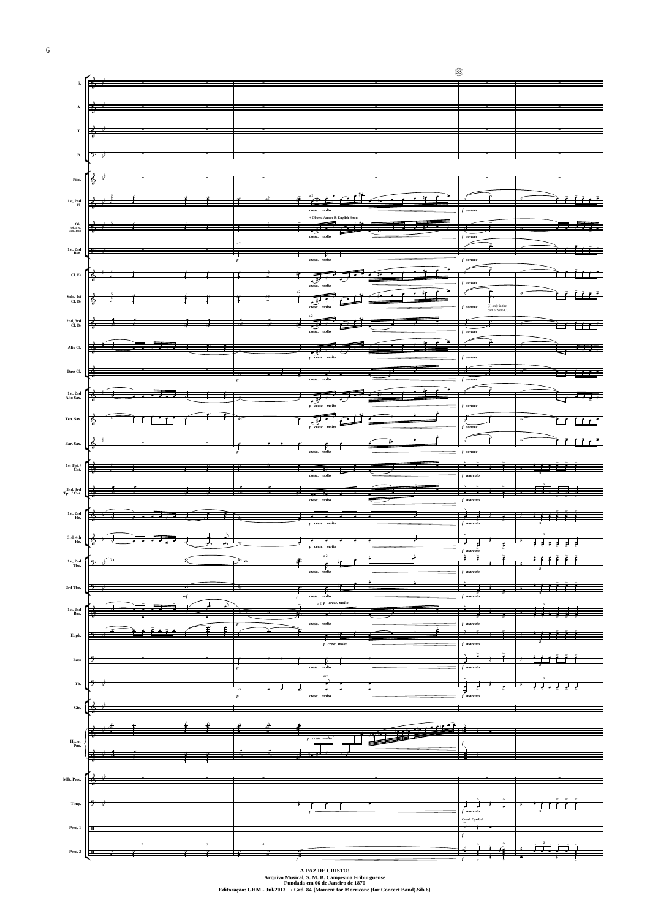

**A PAZ DE CRISTO! Arquivo Musical, S. M. B. Campesina Friburguense Fundada em 06 de Janeiro de 1870 Editoração: GHM - Jul/2013 → Grd. 84 {Moment for Morricone (for Concert Band).Sib 6}**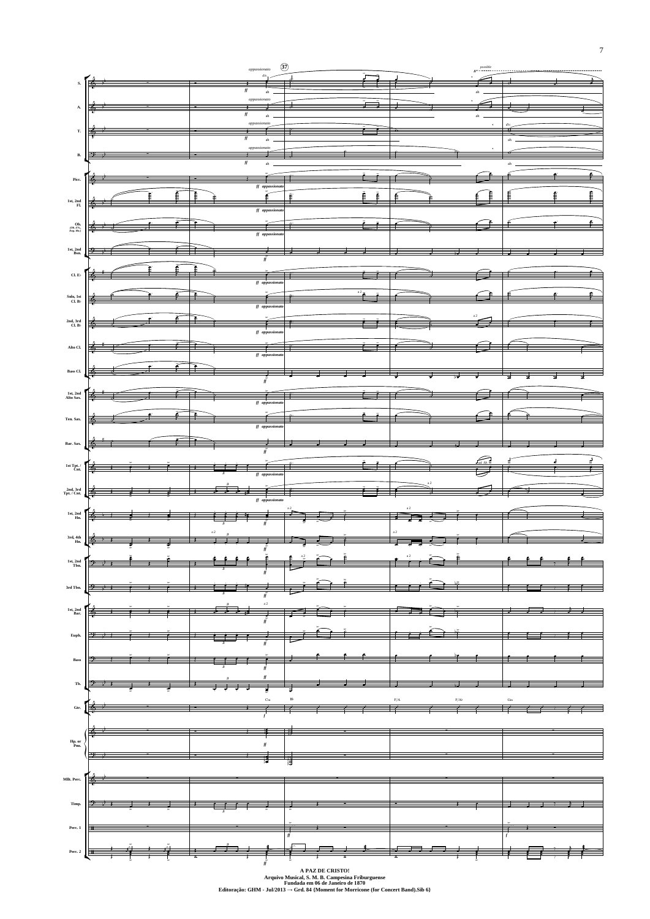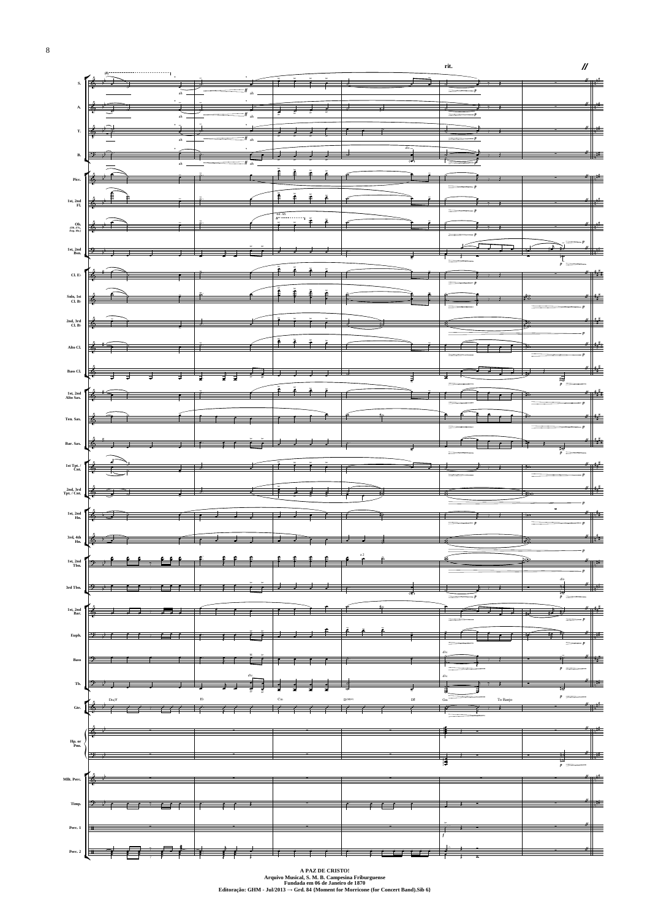

**A PAZ DE CRISTO! Arquivo Musical, S. M. B. Campesina Friburguense Fundada em 06 de Janeiro de 1870 Editoração: GHM - Jul/2013 → Grd. 84 {Moment for Morricone (for Concert Band).Sib 6}**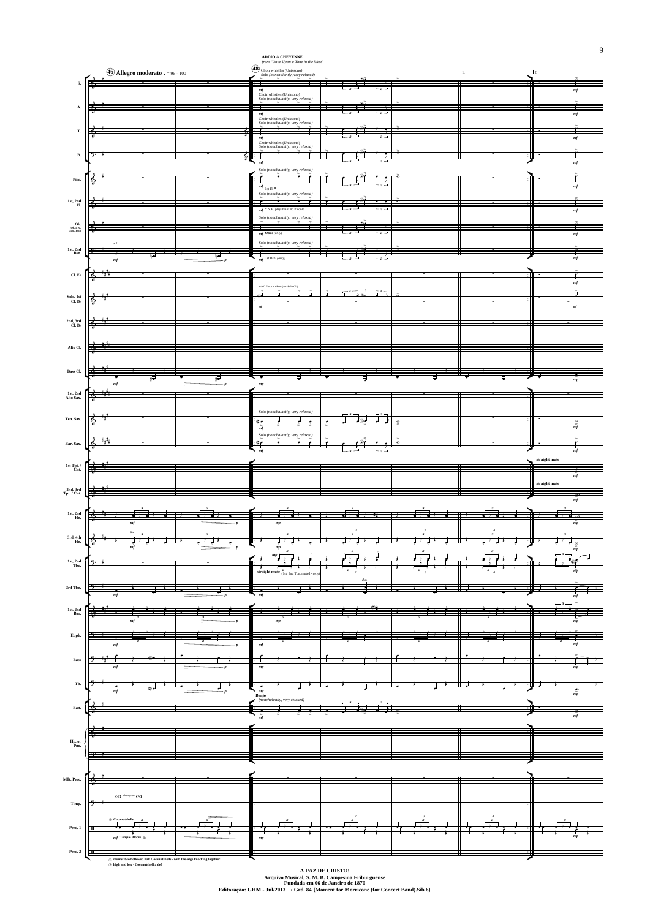

**A PAZ DE CRISTO! Arquivo Musical, S. M. B. Campesina Friburguense Fundada em 06 de Janeiro de 1870 Editoração: GHM - Jul/2013 → Grd. 84 {Moment for Morricone (for Concert Band).Sib 6}**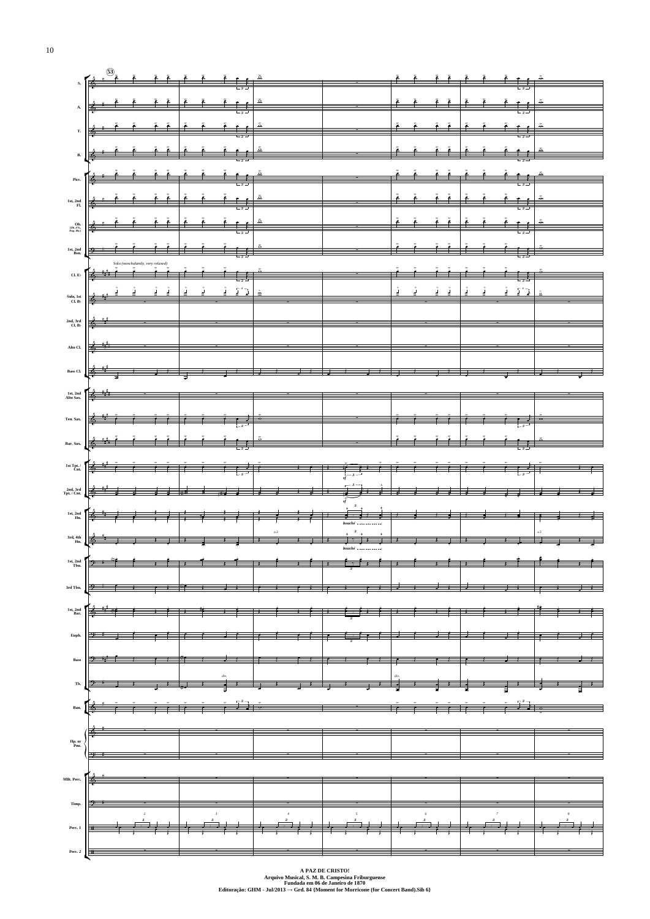



**A PAZ DE CRISTO! Arquivo Musical, S. M. B. Campesina Friburguense Fundada em 06 de Janeiro de 1870 Editoração: GHM - Jul/2013 → Grd. 84 {Moment for Morricone (for Concert Band).Sib 6}**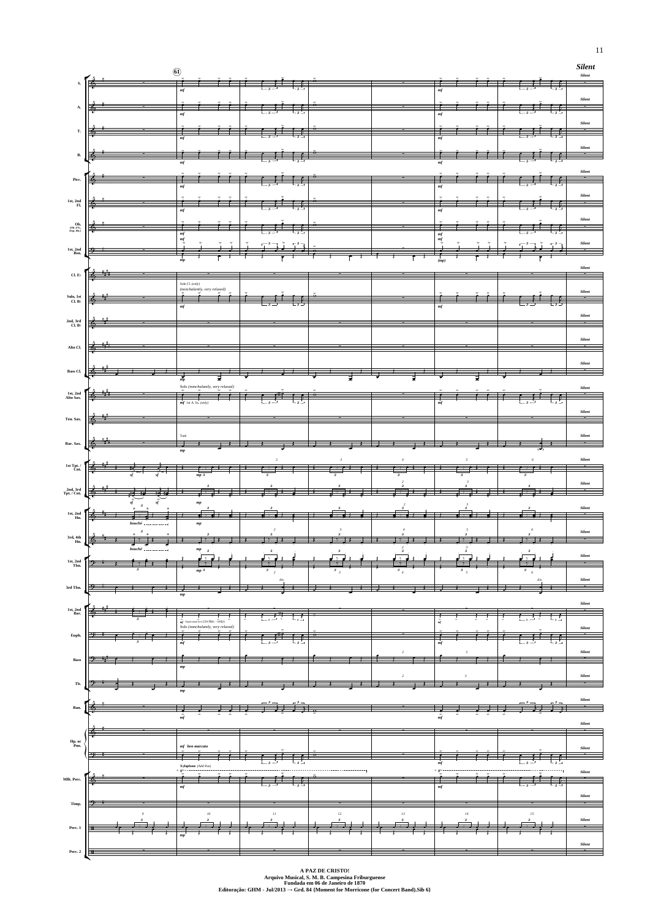|                                                                                  |                        | $\circledcirc$                                                                                                         |                                                                                                                                                                                                                                                                                                                                                                                                                                  |                      |                |                                      |                                                | <b>Silent</b><br>$\it Silent$ |
|----------------------------------------------------------------------------------|------------------------|------------------------------------------------------------------------------------------------------------------------|----------------------------------------------------------------------------------------------------------------------------------------------------------------------------------------------------------------------------------------------------------------------------------------------------------------------------------------------------------------------------------------------------------------------------------|----------------------|----------------|--------------------------------------|------------------------------------------------|-------------------------------|
| $S_{\star}$                                                                      |                        | mf                                                                                                                     |                                                                                                                                                                                                                                                                                                                                                                                                                                  |                      |                | $\it mf$                             |                                                |                               |
| A.                                                                               | $\blacktriangle$       |                                                                                                                        |                                                                                                                                                                                                                                                                                                                                                                                                                                  |                      |                |                                      |                                                | Silent                        |
|                                                                                  |                        | m <sub>f</sub>                                                                                                         |                                                                                                                                                                                                                                                                                                                                                                                                                                  |                      |                | mf                                   |                                                | Silent<br>--                  |
| T.                                                                               |                        | mf                                                                                                                     |                                                                                                                                                                                                                                                                                                                                                                                                                                  |                      |                | mf                                   |                                                |                               |
| B.                                                                               | ⊕                      | mf                                                                                                                     |                                                                                                                                                                                                                                                                                                                                                                                                                                  |                      |                | mf                                   |                                                | Silent                        |
| Picc.                                                                            |                        |                                                                                                                        |                                                                                                                                                                                                                                                                                                                                                                                                                                  |                      |                |                                      |                                                | Silent                        |
|                                                                                  |                        | mf                                                                                                                     |                                                                                                                                                                                                                                                                                                                                                                                                                                  |                      |                | mf                                   |                                                | <b>Silent</b>                 |
| 1st, 2nd $_{\rm Fl.}$                                                            | $\bullet$              | mf                                                                                                                     | $\frac{1}{2}$<br>$\rightarrow$                                                                                                                                                                                                                                                                                                                                                                                                   |                      |                | $\it mf$                             | 千子                                             |                               |
| <b>Ob.</b><br>(Ob. d'A., Eng. Hn.)                                               | $\blacklozenge$        | mf                                                                                                                     | $5f$ f f                                                                                                                                                                                                                                                                                                                                                                                                                         |                      |                | $\it mf$                             | 壬子                                             | Silent                        |
| ${\bf 1st, 2nd \atop Bsn.}$                                                      |                        | mf<br>$\frac{1}{\epsilon}$<br>$\frac{1}{2}$<br>$\frac{1}{\sqrt{2}}$                                                    | $\begin{array}{ c c c c c c c c } \hline & \text{ $\mathbb{R}$}& \text{ $\mathbb{R}$}& \text{ $\mathbb{R}$}& \text{ $\mathbb{R}$}\\ \hline \hline \text{ $\mathbb{R}$}& \text{ $\mathbb{R}$}& \text{ $\mathbb{R}$}& \text{ $\mathbb{R}$}& \text{ $\mathbb{R}$}\\ \hline \text{ $\mathbb{R}$}& \text{ $\mathbb{R}$}& \text{ $\mathbb{R}$}& \text{ $\mathbb{R}$}& \text{ $\mathbb{R}$}& \text{ $\mathbb{R}$}\\ \hline \end{array}$ |                      |                | mf<br>$\frac{1}{2}$<br>$\frac{1}{2}$ | $\frac{1}{2}$<br>$\overline{\phantom{a}}$<br>∹ | Silent                        |
|                                                                                  |                        |                                                                                                                        |                                                                                                                                                                                                                                                                                                                                                                                                                                  |                      |                |                                      |                                                | Silent                        |
| Cl. $\mathbf{E}\flat$                                                            | $\bullet$              | Solo Cl. (only)<br>(nonchalantly, very relaxed)                                                                        |                                                                                                                                                                                                                                                                                                                                                                                                                                  |                      |                |                                      |                                                |                               |
| $\begin{array}{c} \text{Solo, 1st} \\ \text{Cl. B}\flat \end{array}$             | ⊺б                     | $\geq$<br>mf                                                                                                           |                                                                                                                                                                                                                                                                                                                                                                                                                                  |                      |                | mf                                   |                                                | Silent                        |
| 2nd, 3rd<br>Cl. $\rm B\flat$                                                     | $\Phi$                 |                                                                                                                        |                                                                                                                                                                                                                                                                                                                                                                                                                                  |                      |                |                                      |                                                | <b>Silent</b>                 |
|                                                                                  |                        |                                                                                                                        |                                                                                                                                                                                                                                                                                                                                                                                                                                  |                      |                |                                      |                                                | Silent                        |
| Alto Cl.                                                                         | $\phi$                 |                                                                                                                        |                                                                                                                                                                                                                                                                                                                                                                                                                                  |                      |                |                                      |                                                |                               |
| $\,$ Bass Cl.                                                                    | ≢<br>.∲                |                                                                                                                        |                                                                                                                                                                                                                                                                                                                                                                                                                                  | ₹                    |                |                                      |                                                | Silent                        |
|                                                                                  |                        |                                                                                                                        |                                                                                                                                                                                                                                                                                                                                                                                                                                  |                      | ₹              | ₹                                    |                                                |                               |
|                                                                                  |                        | Solo (nonchalantly, very relaxed)                                                                                      |                                                                                                                                                                                                                                                                                                                                                                                                                                  | ᠊ᢦ                   |                |                                      |                                                | $\it Silent$                  |
| ${\bf 1st}, {\bf 2nd} \\ {\bf Alto~ Sax}.$                                       | $\clubsuit$            | $mf$ 1st A. Sx. (only)                                                                                                 |                                                                                                                                                                                                                                                                                                                                                                                                                                  |                      |                | mf                                   |                                                | Silent                        |
| Ten. Sax.                                                                        | (চ                     |                                                                                                                        |                                                                                                                                                                                                                                                                                                                                                                                                                                  |                      |                |                                      |                                                | --                            |
| Bar. Sax.                                                                        | $\blacklozenge$        | Tutti                                                                                                                  |                                                                                                                                                                                                                                                                                                                                                                                                                                  |                      |                |                                      |                                                | Silent                        |
|                                                                                  |                        | $\boldsymbol{m} \boldsymbol{p}$                                                                                        | $\overline{c}$<br>۰                                                                                                                                                                                                                                                                                                                                                                                                              | $\boldsymbol{\beta}$ |                | 5                                    | (ক'<br>6                                       | Silent<br>--                  |
| $\begin{array}{c} \textbf{1st}\; \textbf{Tpt.}\; / \\ \textbf{Cnt.} \end{array}$ |                        | mp <sub>3</sub>                                                                                                        |                                                                                                                                                                                                                                                                                                                                                                                                                                  |                      |                |                                      |                                                | Silent                        |
| 2nd, 3rd<br>Tpt. / Cnt.                                                          | 6<br>id is             | $\mathbf{v}_i$<br>₹<br>mp                                                                                              | $\cdot$                                                                                                                                                                                                                                                                                                                                                                                                                          | $\ddot{\phantom{1}}$ |                |                                      |                                                |                               |
| $\begin{array}{c} \text{1st, 2nd} \\ \text{Hn.} \end{array}$                     | ক                      | इन्हे                                                                                                                  |                                                                                                                                                                                                                                                                                                                                                                                                                                  | $\rightarrow$        |                |                                      |                                                | Silent<br>--                  |
|                                                                                  | $bouché$ $\ldots$      | mp                                                                                                                     |                                                                                                                                                                                                                                                                                                                                                                                                                                  |                      |                |                                      |                                                | Silent<br>۰.                  |
| $_{\rm 3rd, \, 4th}^{3\rm rd, \, 4th}$ Hn.                                       | ⊕<br>$bouché$ $\ldots$ | $\boldsymbol{m}{\boldsymbol{p}}$<br>-3                                                                                 | 3                                                                                                                                                                                                                                                                                                                                                                                                                                | 3                    |                |                                      |                                                | Silent                        |
| 1st, 2nd<br>Tbn.                                                                 |                        | mp 3                                                                                                                   | -3                                                                                                                                                                                                                                                                                                                                                                                                                               | 3                    |                | 3                                    |                                                | <u>—</u>                      |
| 3rd Tbn.                                                                         |                        |                                                                                                                        | d'n                                                                                                                                                                                                                                                                                                                                                                                                                              |                      |                |                                      | di                                             | Silent                        |
|                                                                                  | (০                     | $\boldsymbol{m} \boldsymbol{p}$                                                                                        |                                                                                                                                                                                                                                                                                                                                                                                                                                  |                      |                |                                      |                                                | Silent                        |
| ${\bf 1st, 2nd \atop Bar.}$                                                      |                        | $\stackrel{\rightarrow}{\text{m}f}$ Euphonium Solo (1st Bar. - <i>only</i> )<br>Solo (nonchalantly, very relaxed)<br>- | P.                                                                                                                                                                                                                                                                                                                                                                                                                               |                      |                | $\overline{mf}$                      | $\mathfrak{c}$ , $\mathfrak{c}$                | Silent                        |
| Euph.                                                                            |                        | mi                                                                                                                     | م(#)م<br>╺                                                                                                                                                                                                                                                                                                                                                                                                                       | þ                    |                | mf                                   | $\hat{p}$                                      | -                             |
| $_{\rm Bass}$                                                                    | 9.<br>नी ज             | mp                                                                                                                     |                                                                                                                                                                                                                                                                                                                                                                                                                                  |                      | $\overline{2}$ |                                      |                                                | Silent<br><b>.</b>            |



**A PAZ DE CRISTO! Arquivo Musical, S. M. B. Campesina Friburguense Fundada em 06 de Janeiro de 1870 Editoração: GHM - Jul/2013 → Grd. 84 {Moment for Morricone (for Concert Band).Sib 6}**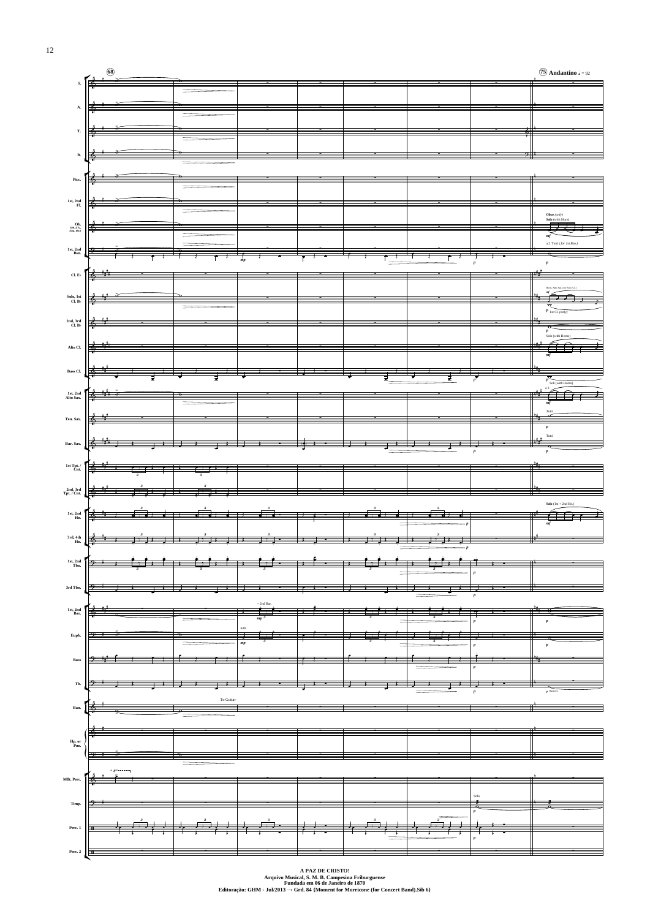

**A PAZ DE CRISTO! Arquivo Musical, S. M. B. Campesina Friburguense Fundada em 06 de Janeiro de 1870 Editoração: GHM - Jul/2013 → Grd. 84 {Moment for Morricone (for Concert Band).Sib 6}**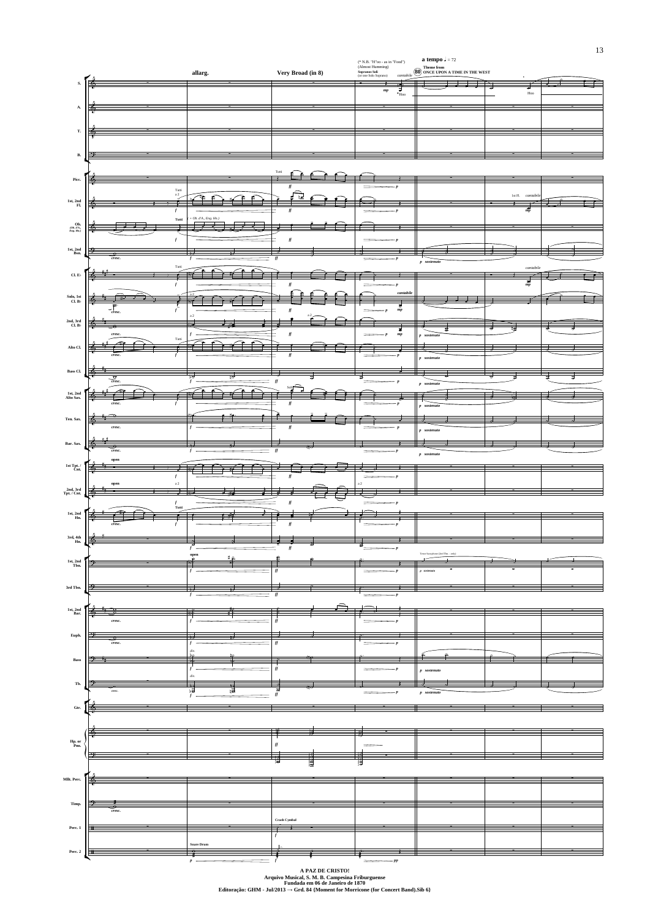

**A PAZ DE CRISTO! Arquivo Musical, S. M. B. Campesina Friburguense Fundada em 06 de Janeiro de 1870 Editoração: GHM - Jul/2013 → Grd. 84 {Moment for Morricone (for Concert Band).Sib 6}**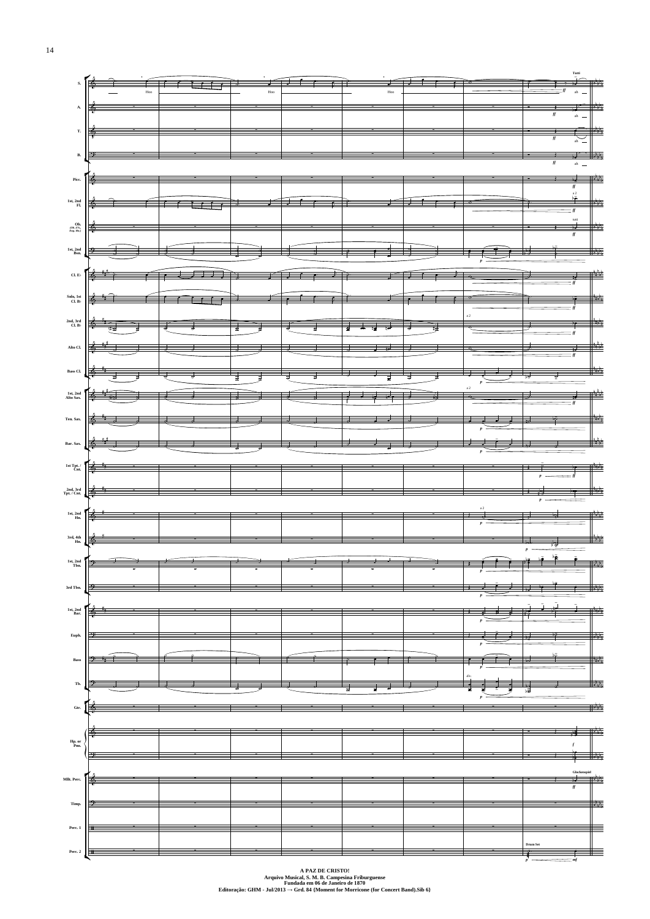

**A PAZ DE CRISTO! Arquivo Musical, S. M. B. Campesina Friburguense Fundada em 06 de Janeiro de 1870 Editoração: GHM - Jul/2013 → Grd. 84 {Moment for Morricone (for Concert Band).Sib 6}**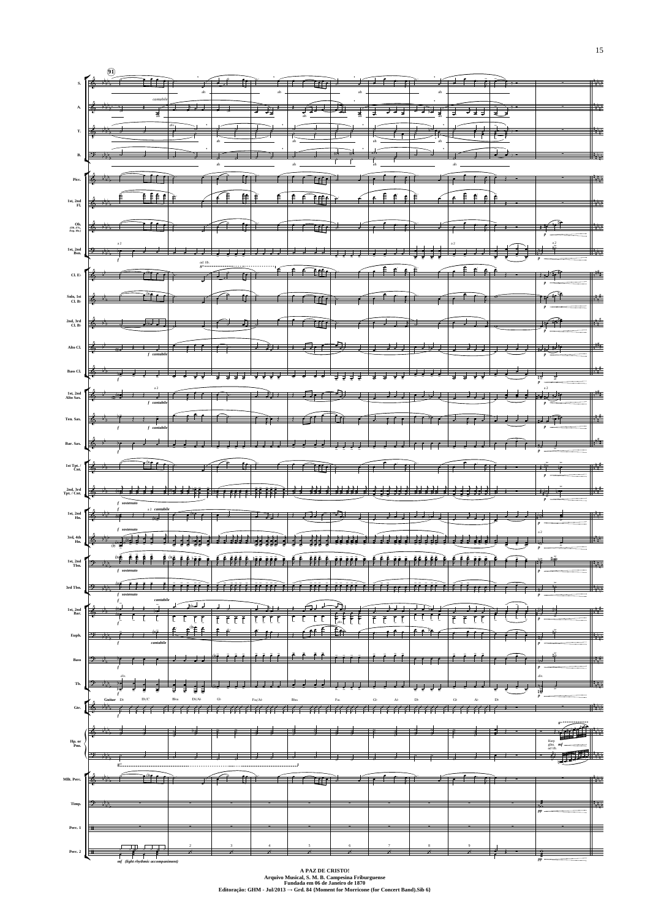

**Arquivo Musical, S. M. B. Campesina Friburguense Fundada em 06 de Janeiro de 1870 Editoração: GHM - Jul/2013 → Grd. 84 {Moment for Morricone (for Concert Band).Sib 6}**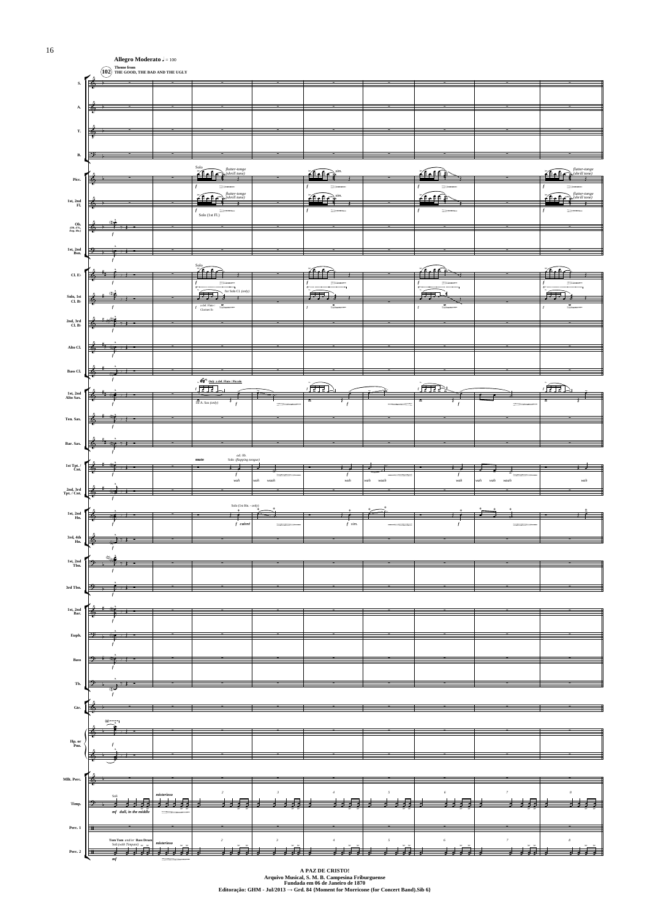



**A PAZ DE CRISTO! Arquivo Musical, S. M. B. Campesina Friburguense Fundada em 06 de Janeiro de 1870 Editoração: GHM - Jul/2013 → Grd. 84 {Moment for Morricone (for Concert Band).Sib 6}**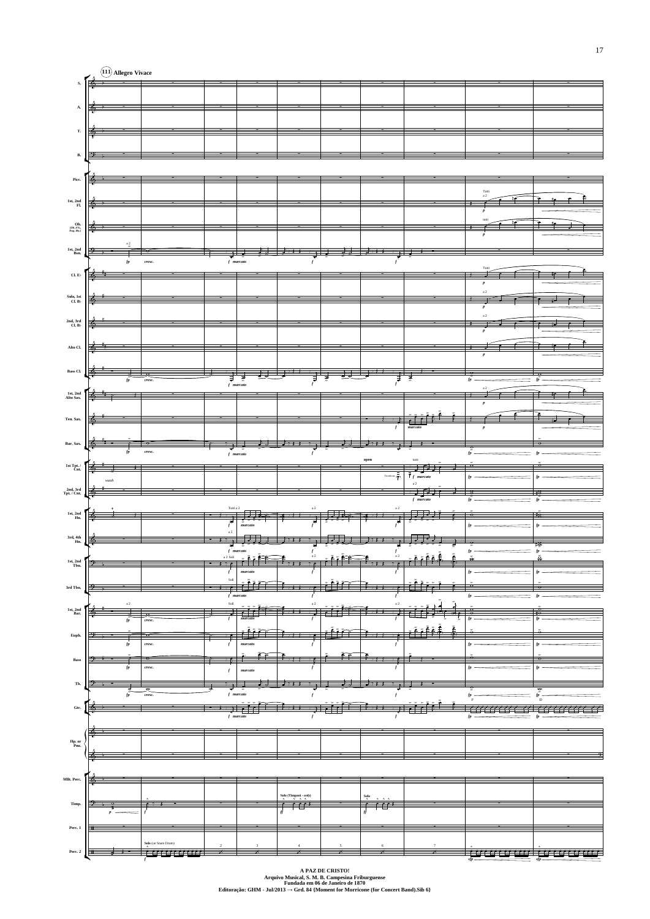

**A PAZ DE CRISTO! Arquivo Musical, S. M. B. Campesina Friburguense Fundada em 06 de Janeiro de 1870 Editoração: GHM - Jul/2013 → Grd. 84 {Moment for Morricone (for Concert Band).Sib 6}**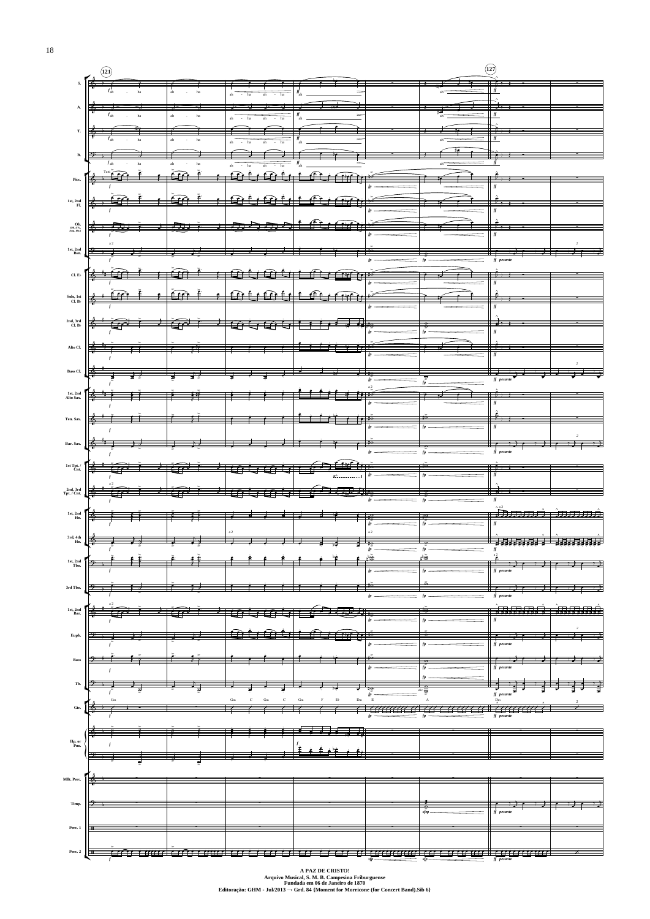

**Arquivo Musical, S. M. B. Campesina Friburguense Fundada em 06 de Janeiro de 1870 Editoração: GHM - Jul/2013 → Grd. 84 {Moment for Morricone (for Concert Band).Sib 6}**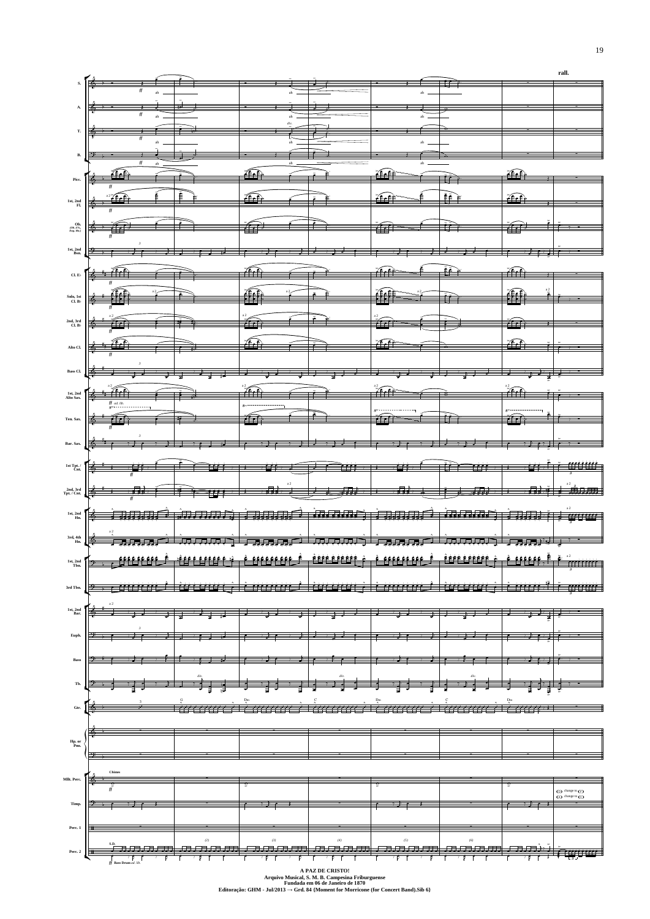

**Fundada em 06 de Janeiro de 1870 Editoração: GHM - Jul/2013 → Grd. 84 {Moment for Morricone (for Concert Band).Sib 6}**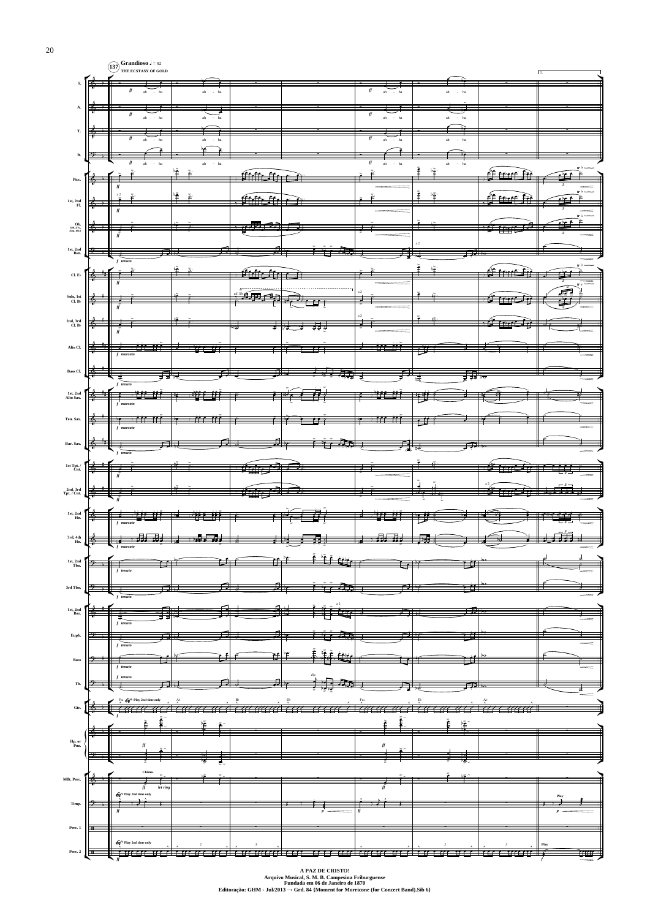

**Arquivo Musical, S. M. B. Campesina Friburguense Fundada em 06 de Janeiro de 1870 Editoração: GHM - Jul/2013 → Grd. 84 {Moment for Morricone (for Concert Band).Sib 6}**